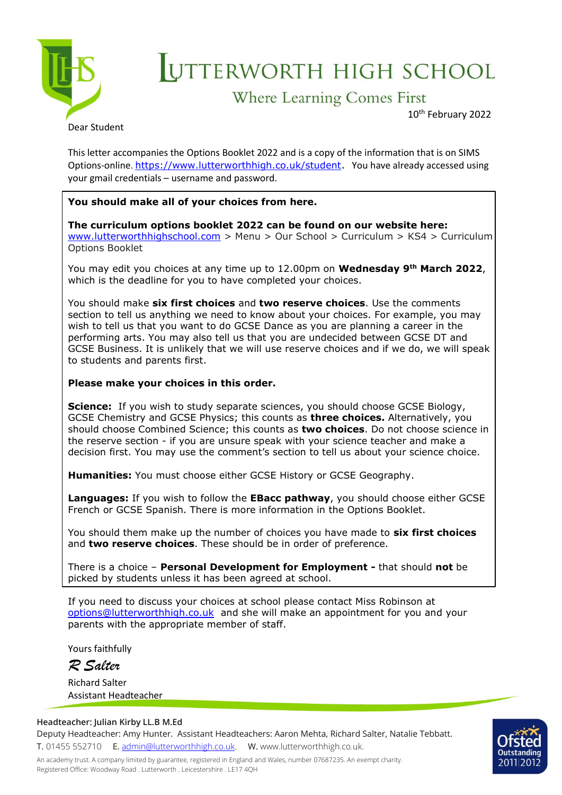

## UTTERWORTH HIGH SCHOOL

## **Where Learning Comes First**

10th February 2022

This letter accompanies the Options Booklet 2022 and is a copy of the information that is on SIMS Options-online. <https://www.lutterworthhigh.co.uk/student>. You have already accessed using your gmail credentials – username and password.

## **You should make all of your choices from here.**

**The curriculum options booklet 2022 can be found on our website here:** [www.lutterworthhighschool.com](http://www.lutterworthhighschool.com/) > Menu > Our School > Curriculum > KS4 > Curriculum Options Booklet

You may edit you choices at any time up to 12.00pm on **Wednesday 9th March 2022**, which is the deadline for you to have completed your choices.

You should make **six first choices** and **two reserve choices**. Use the comments section to tell us anything we need to know about your choices. For example, you may wish to tell us that you want to do GCSE Dance as you are planning a career in the performing arts. You may also tell us that you are undecided between GCSE DT and GCSE Business. It is unlikely that we will use reserve choices and if we do, we will speak to students and parents first.

## **Please make your choices in this order.**

**Science:** If you wish to study separate sciences, you should choose GCSE Biology, GCSE Chemistry and GCSE Physics; this counts as **three choices.** Alternatively, you should choose Combined Science; this counts as **two choices**. Do not choose science in the reserve section - if you are unsure speak with your science teacher and make a decision first. You may use the comment's section to tell us about your science choice.

**Humanities:** You must choose either GCSE History or GCSE Geography.

**Languages:** If you wish to follow the **EBacc pathway**, you should choose either GCSE French or GCSE Spanish. There is more information in the Options Booklet.

You should them make up the number of choices you have made to **six first choices** and **two reserve choices**. These should be in order of preference.

There is a choice – **Personal Development for Employment -** that should **not** be picked by students unless it has been agreed at school.

If you need to discuss your choices at school please contact Miss Robinson at [options@lutterworthhigh.co.uk](mailto:options@lutterworthhigh.co.uk) and she will make an appointment for you and your parents with the appropriate member of staff.

Yours faithfully

*R Salter*

Richard Salter Assistant Headteacher

**Headteacher: Julian Kirby LL.B M.Ed** Deputy Headteacher: Amy Hunter. Assistant Headteachers: Aaron Mehta, Richard Salter, Natalie Tebbatt. T. 01455 552710 E. [admin@lutterworthhigh.co.uk.](mailto:admin@lutterworthhigh.co.uk) W. www.lutterworthhigh.co.uk.